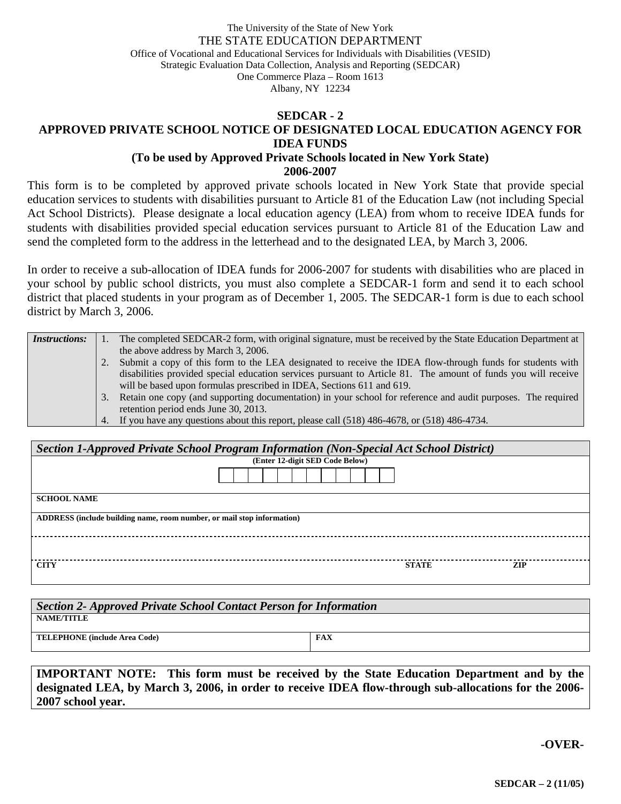#### The University of the State of New York THE STATE EDUCATION DEPARTMENT Office of Vocational and Educational Services for Individuals with Disabilities (VESID) Strategic Evaluation Data Collection, Analysis and Reporting (SEDCAR) One Commerce Plaza – Room 1613 Albany, NY 12234

# **SEDCAR - 2 APPROVED PRIVATE SCHOOL NOTICE OF DESIGNATED LOCAL EDUCATION AGENCY FOR IDEA FUNDS**

### **(To be used by Approved Private Schools located in New York State) 2006-2007**

This form is to be completed by approved private schools located in New York State that provide special education services to students with disabilities pursuant to Article 81 of the Education Law (not including Special Act School Districts). Please designate a local education agency (LEA) from whom to receive IDEA funds for students with disabilities provided special education services pursuant to Article 81 of the Education Law and send the completed form to the address in the letterhead and to the designated LEA, by March 3, 2006.

In order to receive a sub-allocation of IDEA funds for 2006-2007 for students with disabilities who are placed in your school by public school districts, you must also complete a SEDCAR-1 form and send it to each school district that placed students in your program as of December 1, 2005. The SEDCAR-1 form is due to each school district by March 3, 2006.

| <i>Instructions:</i> |    | The completed SEDCAR-2 form, with original signature, must be received by the State Education Department at   |
|----------------------|----|---------------------------------------------------------------------------------------------------------------|
|                      |    | the above address by March 3, 2006.                                                                           |
|                      |    | 2. Submit a copy of this form to the LEA designated to receive the IDEA flow-through funds for students with  |
|                      |    | disabilities provided special education services pursuant to Article 81. The amount of funds you will receive |
|                      |    | will be based upon formulas prescribed in IDEA, Sections 611 and 619.                                         |
|                      | 3. | Retain one copy (and supporting documentation) in your school for reference and audit purposes. The required  |
|                      |    | retention period ends June 30, 2013.                                                                          |
|                      |    | 4. If you have any questions about this report, please call (518) 486-4678, or (518) 486-4734.                |

| Section 1-Approved Private School Program Information (Non-Special Act School District) |                                 |              |     |  |  |  |
|-----------------------------------------------------------------------------------------|---------------------------------|--------------|-----|--|--|--|
|                                                                                         | (Enter 12-digit SED Code Below) |              |     |  |  |  |
|                                                                                         |                                 |              |     |  |  |  |
| <b>SCHOOL NAME</b>                                                                      |                                 |              |     |  |  |  |
| ADDRESS (include building name, room number, or mail stop information)                  |                                 |              |     |  |  |  |
|                                                                                         |                                 |              |     |  |  |  |
| <b>CITY</b>                                                                             |                                 | <b>STATE</b> | ZIP |  |  |  |

| Section 2- Approved Private School Contact Person for Information |            |  |  |  |  |
|-------------------------------------------------------------------|------------|--|--|--|--|
| NAME/TITLE                                                        |            |  |  |  |  |
| TELEPHONE (include Area Code)                                     | <b>FAX</b> |  |  |  |  |

**IMPORTANT NOTE: This form must be received by the State Education Department and by the designated LEA, by March 3, 2006, in order to receive IDEA flow-through sub-allocations for the 2006- 2007 school year.** 

**-OVER-**